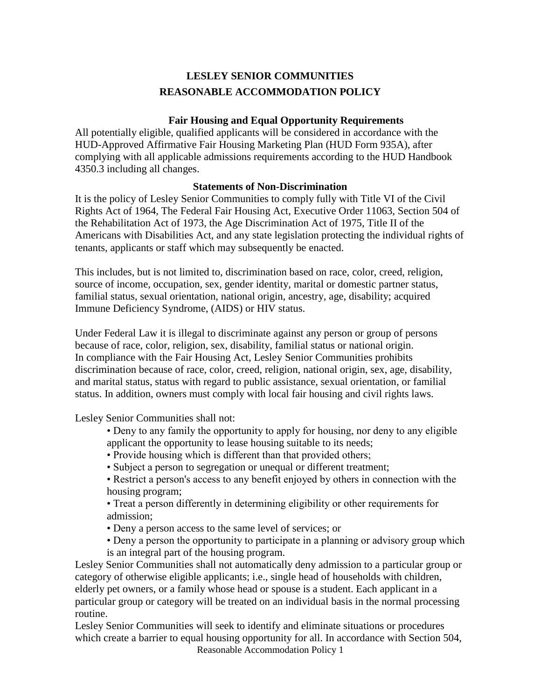## **LESLEY SENIOR COMMUNITIES REASONABLE ACCOMMODATION POLICY**

## **Fair Housing and Equal Opportunity Requirements**

All potentially eligible, qualified applicants will be considered in accordance with the HUD-Approved Affirmative Fair Housing Marketing Plan (HUD Form 935A), after complying with all applicable admissions requirements according to the HUD Handbook 4350.3 including all changes.

## **Statements of Non-Discrimination**

It is the policy of Lesley Senior Communities to comply fully with Title VI of the Civil Rights Act of 1964, The Federal Fair Housing Act, Executive Order 11063, Section 504 of the Rehabilitation Act of 1973, the Age Discrimination Act of 1975, Title II of the Americans with Disabilities Act, and any state legislation protecting the individual rights of tenants, applicants or staff which may subsequently be enacted.

This includes, but is not limited to, discrimination based on race, color, creed, religion, source of income, occupation, sex, gender identity, marital or domestic partner status, familial status, sexual orientation, national origin, ancestry, age, disability; acquired Immune Deficiency Syndrome, (AIDS) or HIV status.

Under Federal Law it is illegal to discriminate against any person or group of persons because of race, color, religion, sex, disability, familial status or national origin. In compliance with the Fair Housing Act, Lesley Senior Communities prohibits discrimination because of race, color, creed, religion, national origin, sex, age, disability, and marital status, status with regard to public assistance, sexual orientation, or familial status. In addition, owners must comply with local fair housing and civil rights laws.

Lesley Senior Communities shall not:

- Deny to any family the opportunity to apply for housing, nor deny to any eligible applicant the opportunity to lease housing suitable to its needs;
- Provide housing which is different than that provided others;
- Subject a person to segregation or unequal or different treatment;
- Restrict a person's access to any benefit enjoyed by others in connection with the housing program;

• Treat a person differently in determining eligibility or other requirements for admission;

- Deny a person access to the same level of services; or
- Deny a person the opportunity to participate in a planning or advisory group which is an integral part of the housing program.

Lesley Senior Communities shall not automatically deny admission to a particular group or category of otherwise eligible applicants; i.e., single head of households with children, elderly pet owners, or a family whose head or spouse is a student. Each applicant in a particular group or category will be treated on an individual basis in the normal processing routine.

Reasonable Accommodation Policy 1 Lesley Senior Communities will seek to identify and eliminate situations or procedures which create a barrier to equal housing opportunity for all. In accordance with Section 504,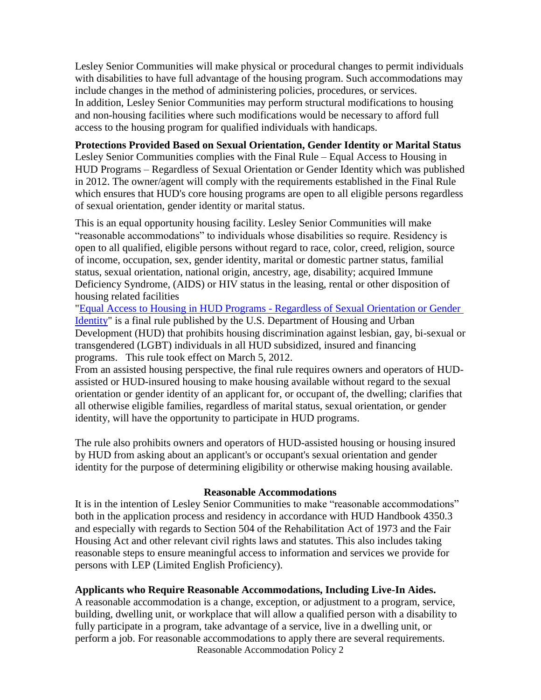Lesley Senior Communities will make physical or procedural changes to permit individuals with disabilities to have full advantage of the housing program. Such accommodations may include changes in the method of administering policies, procedures, or services. In addition, Lesley Senior Communities may perform structural modifications to housing and non-housing facilities where such modifications would be necessary to afford full access to the housing program for qualified individuals with handicaps.

# **Protections Provided Based on Sexual Orientation, Gender Identity or Marital Status**

Lesley Senior Communities complies with the Final Rule – Equal Access to Housing in HUD Programs – Regardless of Sexual Orientation or Gender Identity which was published in 2012. The owner/agent will comply with the requirements established in the Final Rule which ensures that HUD's core housing programs are open to all eligible persons regardless of sexual orientation, gender identity or marital status.

This is an equal opportunity housing facility. Lesley Senior Communities will make "reasonable accommodations" to individuals whose disabilities so require. Residency is open to all qualified, eligible persons without regard to race, color, creed, religion, source of income, occupation, sex, gender identity, marital or domestic partner status, familial status, sexual orientation, national origin, ancestry, age, disability; acquired Immune Deficiency Syndrome, (AIDS) or HIV status in the leasing, rental or other disposition of housing related facilities

["Equal Access to Housing in HUD Programs -](http://portal.hud.gov/hudportal/documents/huddoc?id=5359-F-02EqAccessFinalRule.pdf) Regardless of Sexual Orientation or Gender [Identity"](http://portal.hud.gov/hudportal/documents/huddoc?id=5359-F-02EqAccessFinalRule.pdf) is a final rule published by the U.S. Department of Housing and Urban Development (HUD) that prohibits housing discrimination against lesbian, gay, bi-sexual or transgendered (LGBT) individuals in all HUD subsidized, insured and financing programs. This rule took effect on March 5, 2012.

From an assisted housing perspective, the final rule requires owners and operators of HUDassisted or HUD-insured housing to make housing available without regard to the sexual orientation or gender identity of an applicant for, or occupant of, the dwelling; clarifies that all otherwise eligible families, regardless of marital status, sexual orientation, or gender identity, will have the opportunity to participate in HUD programs.

The rule also prohibits owners and operators of HUD-assisted housing or housing insured by HUD from asking about an applicant's or occupant's sexual orientation and gender identity for the purpose of determining eligibility or otherwise making housing available.

#### **Reasonable Accommodations**

It is in the intention of Lesley Senior Communities to make "reasonable accommodations" both in the application process and residency in accordance with HUD Handbook 4350.3 and especially with regards to Section 504 of the Rehabilitation Act of 1973 and the Fair Housing Act and other relevant civil rights laws and statutes. This also includes taking reasonable steps to ensure meaningful access to information and services we provide for persons with LEP (Limited English Proficiency).

### **Applicants who Require Reasonable Accommodations, Including Live-In Aides.**

Reasonable Accommodation Policy 2 A reasonable accommodation is a change, exception, or adjustment to a program, service, building, dwelling unit, or workplace that will allow a qualified person with a disability to fully participate in a program, take advantage of a service, live in a dwelling unit, or perform a job. For reasonable accommodations to apply there are several requirements.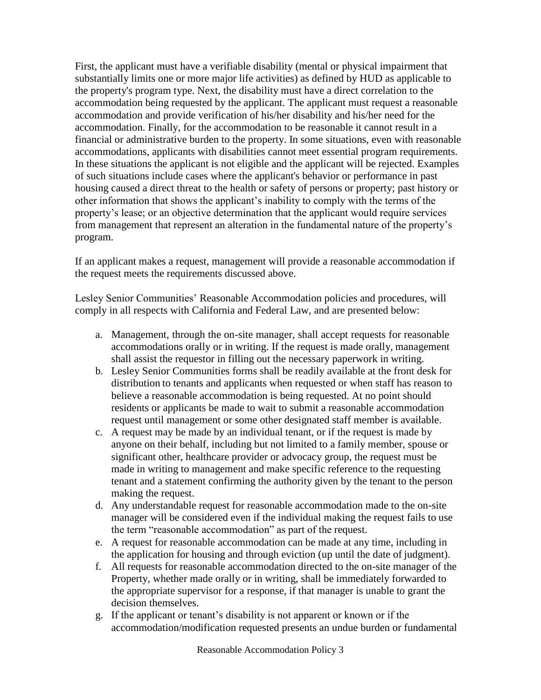First, the applicant must have a verifiable disability (mental or physical impairment that substantially limits one or more major life activities) as defined by HUD as applicable to the property's program type. Next, the disability must have a direct correlation to the accommodation being requested by the applicant. The applicant must request a reasonable accommodation and provide verification of his/her disability and his/her need for the accommodation. Finally, for the accommodation to be reasonable it cannot result in a financial or administrative burden to the property. In some situations, even with reasonable accommodations, applicants with disabilities cannot meet essential program requirements. In these situations the applicant is not eligible and the applicant will be rejected. Examples of such situations include cases where the applicant's behavior or performance in past housing caused a direct threat to the health or safety of persons or property; past history or other information that shows the applicant's inability to comply with the terms of the property's lease; or an objective determination that the applicant would require services from management that represent an alteration in the fundamental nature of the property's program.

If an applicant makes a request, management will provide a reasonable accommodation if the request meets the requirements discussed above.

Lesley Senior Communities' Reasonable Accommodation policies and procedures, will comply in all respects with California and Federal Law, and are presented below:

- a. Management, through the on-site manager, shall accept requests for reasonable accommodations orally or in writing. If the request is made orally, management shall assist the requestor in filling out the necessary paperwork in writing.
- b. Lesley Senior Communities forms shall be readily available at the front desk for distribution to tenants and applicants when requested or when staff has reason to believe a reasonable accommodation is being requested. At no point should residents or applicants be made to wait to submit a reasonable accommodation request until management or some other designated staff member is available.
- c. A request may be made by an individual tenant, or if the request is made by anyone on their behalf, including but not limited to a family member, spouse or significant other, healthcare provider or advocacy group, the request must be made in writing to management and make specific reference to the requesting tenant and a statement confirming the authority given by the tenant to the person making the request.
- d. Any understandable request for reasonable accommodation made to the on-site manager will be considered even if the individual making the request fails to use the term "reasonable accommodation" as part of the request.
- e. A request for reasonable accommodation can be made at any time, including in the application for housing and through eviction (up until the date of judgment).
- f. All requests for reasonable accommodation directed to the on-site manager of the Property, whether made orally or in writing, shall be immediately forwarded to the appropriate supervisor for a response, if that manager is unable to grant the decision themselves.
- g. If the applicant or tenant's disability is not apparent or known or if the accommodation/modification requested presents an undue burden or fundamental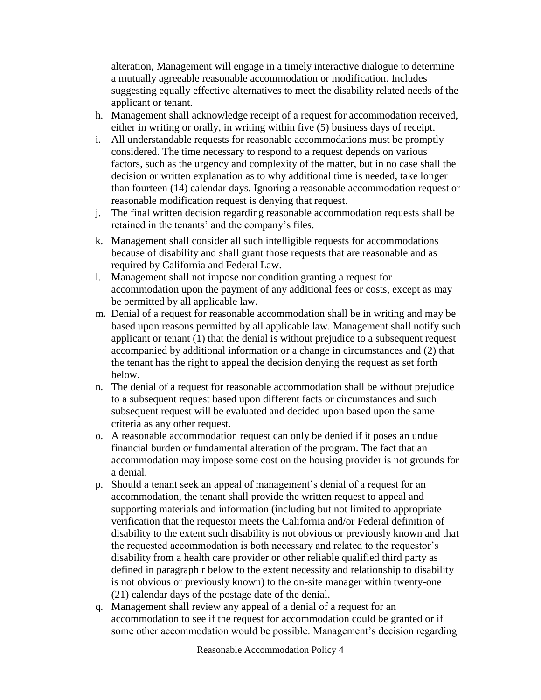alteration, Management will engage in a timely interactive dialogue to determine a mutually agreeable reasonable accommodation or modification. Includes suggesting equally effective alternatives to meet the disability related needs of the applicant or tenant.

- h. Management shall acknowledge receipt of a request for accommodation received, either in writing or orally, in writing within five (5) business days of receipt.
- i. All understandable requests for reasonable accommodations must be promptly considered. The time necessary to respond to a request depends on various factors, such as the urgency and complexity of the matter, but in no case shall the decision or written explanation as to why additional time is needed, take longer than fourteen (14) calendar days. Ignoring a reasonable accommodation request or reasonable modification request is denying that request.
- j. The final written decision regarding reasonable accommodation requests shall be retained in the tenants' and the company's files.
- k. Management shall consider all such intelligible requests for accommodations because of disability and shall grant those requests that are reasonable and as required by California and Federal Law.
- l. Management shall not impose nor condition granting a request for accommodation upon the payment of any additional fees or costs, except as may be permitted by all applicable law.
- m. Denial of a request for reasonable accommodation shall be in writing and may be based upon reasons permitted by all applicable law. Management shall notify such applicant or tenant (1) that the denial is without prejudice to a subsequent request accompanied by additional information or a change in circumstances and (2) that the tenant has the right to appeal the decision denying the request as set forth below.
- n. The denial of a request for reasonable accommodation shall be without prejudice to a subsequent request based upon different facts or circumstances and such subsequent request will be evaluated and decided upon based upon the same criteria as any other request.
- o. A reasonable accommodation request can only be denied if it poses an undue financial burden or fundamental alteration of the program. The fact that an accommodation may impose some cost on the housing provider is not grounds for a denial.
- p. Should a tenant seek an appeal of management's denial of a request for an accommodation, the tenant shall provide the written request to appeal and supporting materials and information (including but not limited to appropriate verification that the requestor meets the California and/or Federal definition of disability to the extent such disability is not obvious or previously known and that the requested accommodation is both necessary and related to the requestor's disability from a health care provider or other reliable qualified third party as defined in paragraph r below to the extent necessity and relationship to disability is not obvious or previously known) to the on-site manager within twenty-one (21) calendar days of the postage date of the denial.
- q. Management shall review any appeal of a denial of a request for an accommodation to see if the request for accommodation could be granted or if some other accommodation would be possible. Management's decision regarding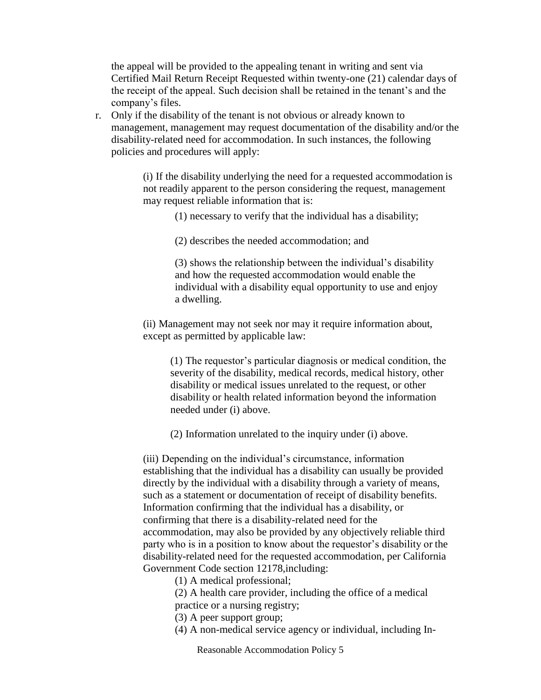the appeal will be provided to the appealing tenant in writing and sent via Certified Mail Return Receipt Requested within twenty-one (21) calendar days of the receipt of the appeal. Such decision shall be retained in the tenant's and the company's files.

r. Only if the disability of the tenant is not obvious or already known to management, management may request documentation of the disability and/or the disability-related need for accommodation. In such instances, the following policies and procedures will apply:

> (i) If the disability underlying the need for a requested accommodation is not readily apparent to the person considering the request, management may request reliable information that is:

> > (1) necessary to verify that the individual has a disability;

(2) describes the needed accommodation; and

(3) shows the relationship between the individual's disability and how the requested accommodation would enable the individual with a disability equal opportunity to use and enjoy a dwelling.

(ii) Management may not seek nor may it require information about, except as permitted by applicable law:

(1) The requestor's particular diagnosis or medical condition, the severity of the disability, medical records, medical history, other disability or medical issues unrelated to the request, or other disability or health related information beyond the information needed under (i) above.

(2) Information unrelated to the inquiry under (i) above.

(iii) Depending on the individual's circumstance, information establishing that the individual has a disability can usually be provided directly by the individual with a disability through a variety of means, such as a statement or documentation of receipt of disability benefits. Information confirming that the individual has a disability, or confirming that there is a disability-related need for the accommodation, may also be provided by any objectively reliable third party who is in a position to know about the requestor's disability or the disability-related need for the requested accommodation, per California Government Code section 12178,including:

(1) A medical professional;

(2) A health care provider, including the office of a medical practice or a nursing registry;

- (3) A peer support group;
- (4) A non-medical service agency or individual, including In-

Reasonable Accommodation Policy 5